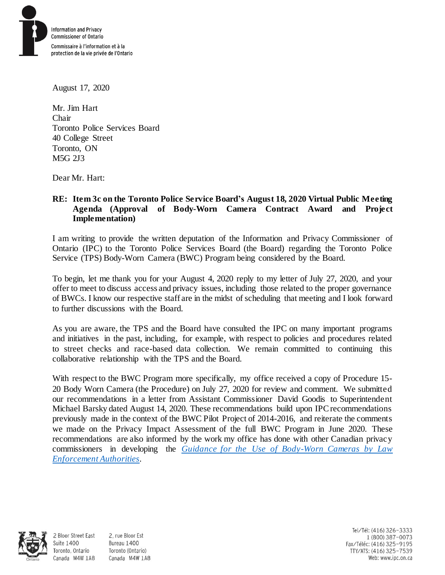

August 17, 2020

Mr. Jim Hart Chair Toronto Police Services Board 40 College Street Toronto, ON M5G 2J3

Dear Mr. Hart:

# **RE: Item 3c on the Toronto Police Service Board's August 18, 2020 Virtual Public Meeting Agenda (Approval of Body-Worn Camera Contract Award and Project Implementation)**

I am writing to provide the written deputation of the Information and Privacy Commissioner of Ontario (IPC) to the Toronto Police Services Board (the Board) regarding the Toronto Police Service (TPS) Body-Worn Camera (BWC) Program being considered by the Board.

To begin, let me thank you for your August 4, 2020 reply to my letter of July 27, 2020, and your offer to meet to discuss access and privacy issues, including those related to the proper governance of BWCs. I know our respective staff are in the midst of scheduling that meeting and I look forward to further discussions with the Board.

As you are aware, the TPS and the Board have consulted the IPC on many important programs and initiatives in the past, including, for example, with respect to policies and procedures related to street checks and race-based data collection. We remain committed to continuing this collaborative relationship with the TPS and the Board.

With respect to the BWC Program more specifically, my office received a copy of Procedure 15-20 Body Worn Camera (the Procedure) on July 27, 2020 for review and comment. We submitted our recommendations in a letter from Assistant Commissioner David Goodis to Superintendent Michael Barsky dated August 14, 2020. These recommendations build upon IPC recommendations previously made in the context of the BWC Pilot Project of 2014-2016, and reiterate the comments we made on the Privacy Impact Assessment of the full BWC Program in June 2020. These recommendations are also informed by the work my office has done with other Canadian privacy commissioners in developing the *[Guidance for the Use of Body-Worn Cameras by Law](https://www.priv.gc.ca/en/privacy-topics/surveillance/police-and-public-safety/gd_bwc_201502/)  [Enforcement Authorities](https://www.priv.gc.ca/en/privacy-topics/surveillance/police-and-public-safety/gd_bwc_201502/).* 



**Suite 1400** 

2 Bloor Street East 2, rue Bloor Est Bureau 1400 Toronto, Ontario Toronto (Ontario) Canada M4W 1A8 Canada M4W 1A8

Tel/Tél: (416) 326-3333 1 (800) 387-0073 Fax/Téléc: (416) 325-9195 TTY/ATS: (416) 325-7539 Web: www.ipc.on.ca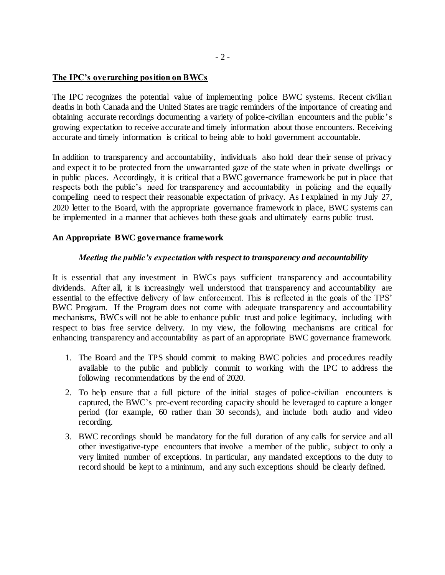### **The IPC's overarching position on BWCs**

The IPC recognizes the potential value of implementing police BWC systems. Recent civilian deaths in both Canada and the United States are tragic reminders of the importance of creating and obtaining accurate recordings documenting a variety of police-civilian encounters and the public's growing expectation to receive accurate and timely information about those encounters. Receiving accurate and timely information is critical to being able to hold government accountable.

In addition to transparency and accountability, individuals also hold dear their sense of privacy and expect it to be protected from the unwarranted gaze of the state when in private dwellings or in public places. Accordingly, it is critical that a BWC governance framework be put in place that respects both the public's need for transparency and accountability in policing and the equally compelling need to respect their reasonable expectation of privacy. As I explained in my July 27, 2020 letter to the Board, with the appropriate governance framework in place, BWC systems can be implemented in a manner that achieves both these goals and ultimately earns public trust.

#### **An Appropriate BWC governance framework**

#### *Meeting the public's expectation with respect to transparency and accountability*

It is essential that any investment in BWCs pays sufficient transparency and accountability dividends. After all, it is increasingly well understood that transparency and accountability are essential to the effective delivery of law enforcement. This is reflected in the goals of the TPS' BWC Program. If the Program does not come with adequate transparency and accountability mechanisms, BWCs will not be able to enhance public trust and police legitimacy, including with respect to bias free service delivery. In my view, the following mechanisms are critical for enhancing transparency and accountability as part of an appropriate BWC governance framework.

- 1. The Board and the TPS should commit to making BWC policies and procedures readily available to the public and publicly commit to working with the IPC to address the following recommendations by the end of 2020.
- 2. To help ensure that a full picture of the initial stages of police-civilian encounters is captured, the BWC's pre-event recording capacity should be leveraged to capture a longer period (for example, 60 rather than 30 seconds), and include both audio and video recording.
- 3. BWC recordings should be mandatory for the full duration of any calls for service and all other investigative-type encounters that involve a member of the public, subject to only a very limited number of exceptions. In particular, any mandated exceptions to the duty to record should be kept to a minimum, and any such exceptions should be clearly defined.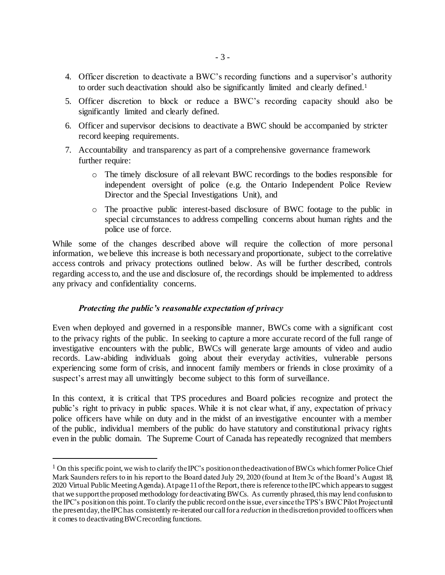- 4. Officer discretion to deactivate a BWC's recording functions and a supervisor's authority to order such deactivation should also be significantly limited and clearly defined.<sup>1</sup>
- 5. Officer discretion to block or reduce a BWC's recording capacity should also be significantly limited and clearly defined.
- 6. Officer and supervisor decisions to deactivate a BWC should be accompanied by stricter record keeping requirements.
- 7. Accountability and transparency as part of a comprehensive governance framework further require:
	- o The timely disclosure of all relevant BWC recordings to the bodies responsible for independent oversight of police (e.g. the Ontario Independent Police Review Director and the Special Investigations Unit), and
	- o The proactive public interest-based disclosure of BWC footage to the public in special circumstances to address compelling concerns about human rights and the police use of force.

While some of the changes described above will require the collection of more personal information, we believe this increase is both necessary and proportionate, subject to the correlative access controls and privacy protections outlined below. As will be further described, controls regarding access to, and the use and disclosure of, the recordings should be implemented to address any privacy and confidentiality concerns.

## *Protecting the public's reasonable expectation of privacy*

l

Even when deployed and governed in a responsible manner, BWCs come with a significant cost to the privacy rights of the public. In seeking to capture a more accurate record of the full range of investigative encounters with the public, BWCs will generate large amounts of video and audio records. Law-abiding individuals going about their everyday activities, vulnerable persons experiencing some form of crisis, and innocent family members or friends in close proximity of a suspect's arrest may all unwittingly become subject to this form of surveillance.

In this context, it is critical that TPS procedures and Board policies recognize and protect the public's right to privacy in public spaces. While it is not clear what, if any, expectation of privacy police officers have while on duty and in the midst of an investigative encounter with a member of the public, individual members of the public do have statutory and constitutional privacy rights even in the public domain. The Supreme Court of Canada has repeatedly recognized that members

<sup>&</sup>lt;sup>1</sup> On this specific point, we wish to clarify the IPC's position on the deactivation of BWCs which former Police Chief Mark Saunders refers to in his report to the Board dated July 29, 2020 (found at Item 3c of the Board's August 18, 2020 Virtual Public Meeting Agenda). At page 11 of the Report, there is reference to the IPC which appears to suggest that we support the proposed methodology for deactivating BWCs. As currently phrased, this may lend confusion to the IPC's position on this point. To clarify the public record on the issue, ever since the TPS's BWC Pilot Project until the present day, the IPC has consistently re-iterated our call for a *reduction* in the discretion provided to officers when it comes to deactivating BWC recording functions.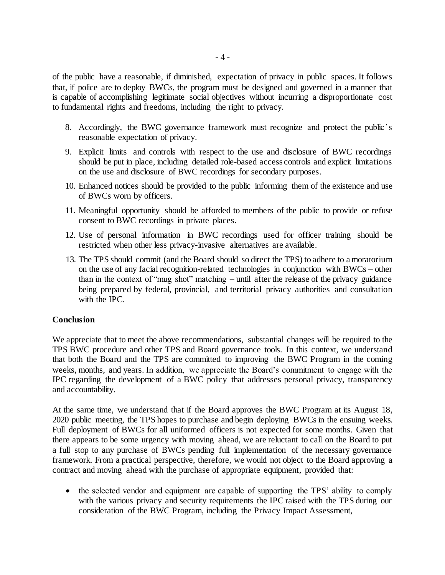of the public have a reasonable, if diminished, expectation of privacy in public spaces. It follows that, if police are to deploy BWCs, the program must be designed and governed in a manner that is capable of accomplishing legitimate social objectives without incurring a disproportionate cost to fundamental rights and freedoms, including the right to privacy.

- 8. Accordingly, the BWC governance framework must recognize and protect the public's reasonable expectation of privacy.
- 9. Explicit limits and controls with respect to the use and disclosure of BWC recordings should be put in place, including detailed role-based access controls and explicit limitations on the use and disclosure of BWC recordings for secondary purposes.
- 10. Enhanced notices should be provided to the public informing them of the existence and use of BWCs worn by officers.
- 11. Meaningful opportunity should be afforded to members of the public to provide or refuse consent to BWC recordings in private places.
- 12. Use of personal information in BWC recordings used for officer training should be restricted when other less privacy-invasive alternatives are available.
- 13. The TPS should commit (and the Board should so direct the TPS) to adhere to a moratorium on the use of any facial recognition-related technologies in conjunction with BWCs – other than in the context of "mug shot" matching – until after the release of the privacy guidance being prepared by federal, provincial, and territorial privacy authorities and consultation with the IPC.

## **Conclusion**

We appreciate that to meet the above recommendations, substantial changes will be required to the TPS BWC procedure and other TPS and Board governance tools. In this context, we understand that both the Board and the TPS are committed to improving the BWC Program in the coming weeks, months, and years. In addition, we appreciate the Board's commitment to engage with the IPC regarding the development of a BWC policy that addresses personal privacy, transparency and accountability.

At the same time, we understand that if the Board approves the BWC Program at its August 18, 2020 public meeting, the TPS hopes to purchase and begin deploying BWCs in the ensuing weeks. Full deployment of BWCs for all uniformed officers is not expected for some months. Given that there appears to be some urgency with moving ahead, we are reluctant to call on the Board to put a full stop to any purchase of BWCs pending full implementation of the necessary governance framework. From a practical perspective, therefore, we would not object to the Board approving a contract and moving ahead with the purchase of appropriate equipment, provided that:

• the selected vendor and equipment are capable of supporting the TPS' ability to comply with the various privacy and security requirements the IPC raised with the TPS during our consideration of the BWC Program, including the Privacy Impact Assessment,